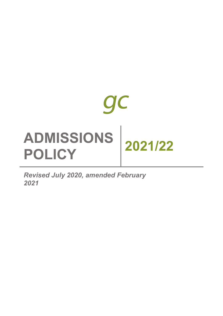

*Revised July 2020, amended February 2021*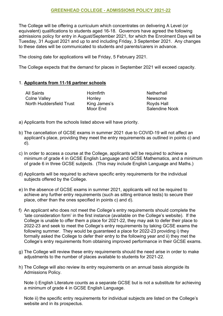### **GREENHEAD COLLEGE - ADMISSIONS POLICY 2021-22**

The College will be offering a curriculum which concentrates on delivering A Level (or equivalent) qualifications to students aged 16-18. Governors have agreed the following admissions policy for entry in August/September 2021, for which the Enrolment Days will be Tuesday, 31 August 2021 and up to and including Friday, 3 September 2021. Any changes to these dates will be communicated to students and parents/carers in advance.

The closing date for applications will be Friday, 5 February 2021.

The College expects that the demand for places in September 2021 will exceed capacity.

#### 1. **Applicants from 11-16 partner schools**

All Saints **Netherhall** Colne Valley **Newsome** Honley **Newsome** North Huddersfield Trust King James's Royds Hall

Moor End Salendine Nook

- a) Applicants from the schools listed above will have priority.
- b) The cancellation of GCSE exams in summer 2021 due to COVID-19 will not affect an applicant's place, providing they meet the entry requirements as outlined in points c) and d).
- c) In order to access a course at the College, applicants will be required to achieve a minimum of grade 4 in GCSE English Language and GCSE Mathematics, and a minimum of grade 6 in three GCSE subjects. (This may include English Language and Maths.)
- d) Applicants will be required to achieve specific entry requirements for the individual subjects offered by the College.
- e) In the absence of GCSE exams in summer 2021, applicants will not be required to achieve any further entry requirements (such as sitting entrance tests) to secure their place, other than the ones specified in points c) and d).
- f) An applicant who does not meet the College's entry requirements should complete the 'late consideration form' in the first instance (available on the College's website). If the College is unable to offer them a place for 2021-22, they may ask to defer their place to 2022-23 and seek to meet the College's entry requirements by taking GCSE exams the following summer. They would be guaranteed a place for 2022-23 providing i) they formally asked the College to defer their entry to the following year and ii) they met the College's entry requirements from obtaining improved performance in their GCSE exams.
- g) The College will review these entry requirements should the need arise in order to make adjustments to the number of places available to students for 2021-22.
- h) The College will also review its entry requirements on an annual basis alongside its Admissions Policy.

Note i) English Literature counts as a separate GCSE but is not a substitute for achieving a minimum of grade 4 in GCSE English Language.

Note ii) the specific entry requirements for individual subjects are listed on the College's website and in its prospectus.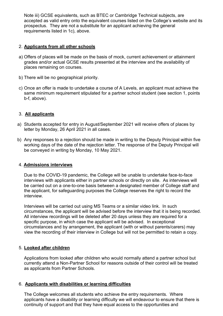Note iii) GCSE equivalents, such as BTEC or Cambridge Technical subjects, are accepted as valid entry onto the equivalent courses listed on the College's website and its prospectus. They are not a substitute for an applicant achieving the general requirements listed in 1c), above.

# 2. **Applicants from all other schools**

- a) Offers of places will be made on the basis of mock, current achievement or attainment grades and/or actual GCSE results presented at the interview and the availability of places remaining on courses.
- b) There will be no geographical priority.
- c) Once an offer is made to undertake a course of A Levels, an applicant must achieve the same minimum requirement stipulated for a partner school student (see section 1, points b-f, above).

# 3. **All applicants**

- a) Students accepted for entry in August/September 2021 will receive offers of places by letter by Monday, 26 April 2021 in all cases.
- b) Any responses to a rejection should be made in writing to the Deputy Principal within five working days of the date of the rejection letter. The response of the Deputy Principal will be conveyed in writing by Monday, 10 May 2021.

### 4. **Admissions interviews**

Due to the COVID-19 pandemic, the College will be unable to undertake face-to-face interviews with applicants either in partner schools or directly on site. As interviews will be carried out on a one-to-one basis between a designated member of College staff and the applicant, for safeguarding purposes the College reserves the right to record the interview.

Interviews will be carried out using MS Teams or a similar video link. In such circumstances, the applicant will be advised before the interview that it is being recorded. All interview recordings will be deleted after 20 days unless they are required for a specific purpose, in which case the applicant will be advised. In exceptional circumstances and by arrangement, the applicant (with or without parents/carers) may view the recording of their interview in College but will not be permitted to retain a copy.

### 5. **Looked after children**

Applications from looked after children who would normally attend a partner school but currently attend a Non-Partner School for reasons outside of their control will be treated as applicants from Partner Schools.

### 6. **Applicants with disabilities or learning difficulties**

The College welcomes all students who achieve the entry requirements. Where applicants have a disability or learning difficulty we will endeavour to ensure that there is continuity of support and that they have equal access to the opportunities and